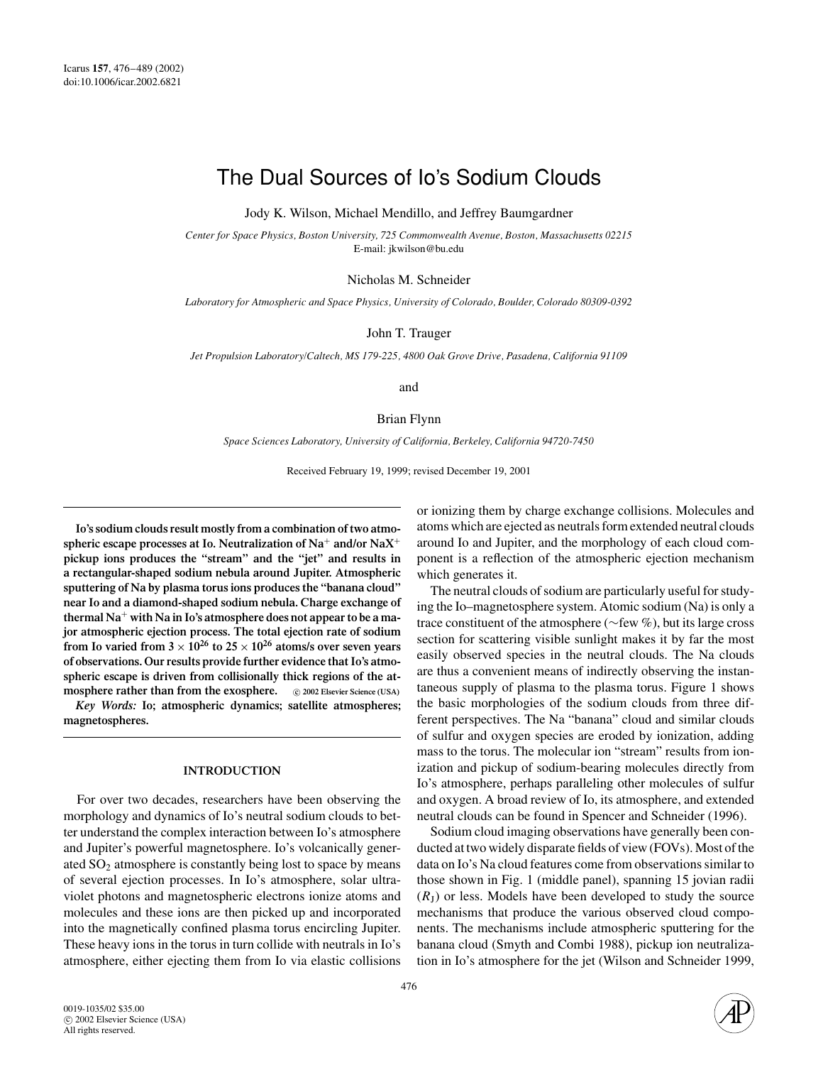# The Dual Sources of Io's Sodium Clouds

Jody K. Wilson, Michael Mendillo, and Jeffrey Baumgardner

*Center for Space Physics, Boston University, 725 Commonwealth Avenue, Boston, Massachusetts 02215* E-mail: jkwilson@bu.edu

Nicholas M. Schneider

*Laboratory for Atmospheric and Space Physics, University of Colorado, Boulder, Colorado 80309-0392*

John T. Trauger

*Jet Propulsion Laboratory/Caltech, MS 179-225, 4800 Oak Grove Drive, Pasadena, California 91109*

and

Brian Flynn

*Space Sciences Laboratory, University of California, Berkeley, California 94720-7450*

Received February 19, 1999; revised December 19, 2001

**Io's sodium clouds result mostly from a combination of two atmospheric escape processes at Io. Neutralization of Na**<sup>+</sup> **and/or NaX**<sup>+</sup> **pickup ions produces the "stream" and the "jet" and results in a rectangular-shaped sodium nebula around Jupiter. Atmospheric sputtering of Na by plasma torus ions produces the "banana cloud" near Io and a diamond-shaped sodium nebula. Charge exchange of thermal Na**<sup>+</sup> **with Na in Io's atmosphere does not appear to be a major atmospheric ejection process. The total ejection rate of sodium from Io varied from**  $3 \times 10^{26}$  **to**  $25 \times 10^{26}$  **atoms/s over seven years of observations. Our results provide further evidence that Io's atmospheric escape is driven from collisionally thick regions of the atmosphere rather than from the exosphere.**  $\circ$  2002 Elsevier Science (USA)

*Key Words:* **Io; atmospheric dynamics; satellite atmospheres; magnetospheres.**

## **INTRODUCTION**

For over two decades, researchers have been observing the morphology and dynamics of Io's neutral sodium clouds to better understand the complex interaction between Io's atmosphere and Jupiter's powerful magnetosphere. Io's volcanically generated  $SO<sub>2</sub>$  atmosphere is constantly being lost to space by means of several ejection processes. In Io's atmosphere, solar ultraviolet photons and magnetospheric electrons ionize atoms and molecules and these ions are then picked up and incorporated into the magnetically confined plasma torus encircling Jupiter. These heavy ions in the torus in turn collide with neutrals in Io's atmosphere, either ejecting them from Io via elastic collisions

or ionizing them by charge exchange collisions. Molecules and atoms which are ejected as neutrals form extended neutral clouds around Io and Jupiter, and the morphology of each cloud component is a reflection of the atmospheric ejection mechanism which generates it.

The neutral clouds of sodium are particularly useful for studying the Io–magnetosphere system. Atomic sodium (Na) is only a trace constituent of the atmosphere (∼few %), but its large cross section for scattering visible sunlight makes it by far the most easily observed species in the neutral clouds. The Na clouds are thus a convenient means of indirectly observing the instantaneous supply of plasma to the plasma torus. Figure 1 shows the basic morphologies of the sodium clouds from three different perspectives. The Na "banana" cloud and similar clouds of sulfur and oxygen species are eroded by ionization, adding mass to the torus. The molecular ion "stream" results from ionization and pickup of sodium-bearing molecules directly from Io's atmosphere, perhaps paralleling other molecules of sulfur and oxygen. A broad review of Io, its atmosphere, and extended neutral clouds can be found in Spencer and Schneider (1996).

Sodium cloud imaging observations have generally been conducted at two widely disparate fields of view (FOVs). Most of the data on Io's Na cloud features come from observations similar to those shown in Fig. 1 (middle panel), spanning 15 jovian radii  $(R<sub>J</sub>)$  or less. Models have been developed to study the source mechanisms that produce the various observed cloud components. The mechanisms include atmospheric sputtering for the banana cloud (Smyth and Combi 1988), pickup ion neutralization in Io's atmosphere for the jet (Wilson and Schneider 1999,

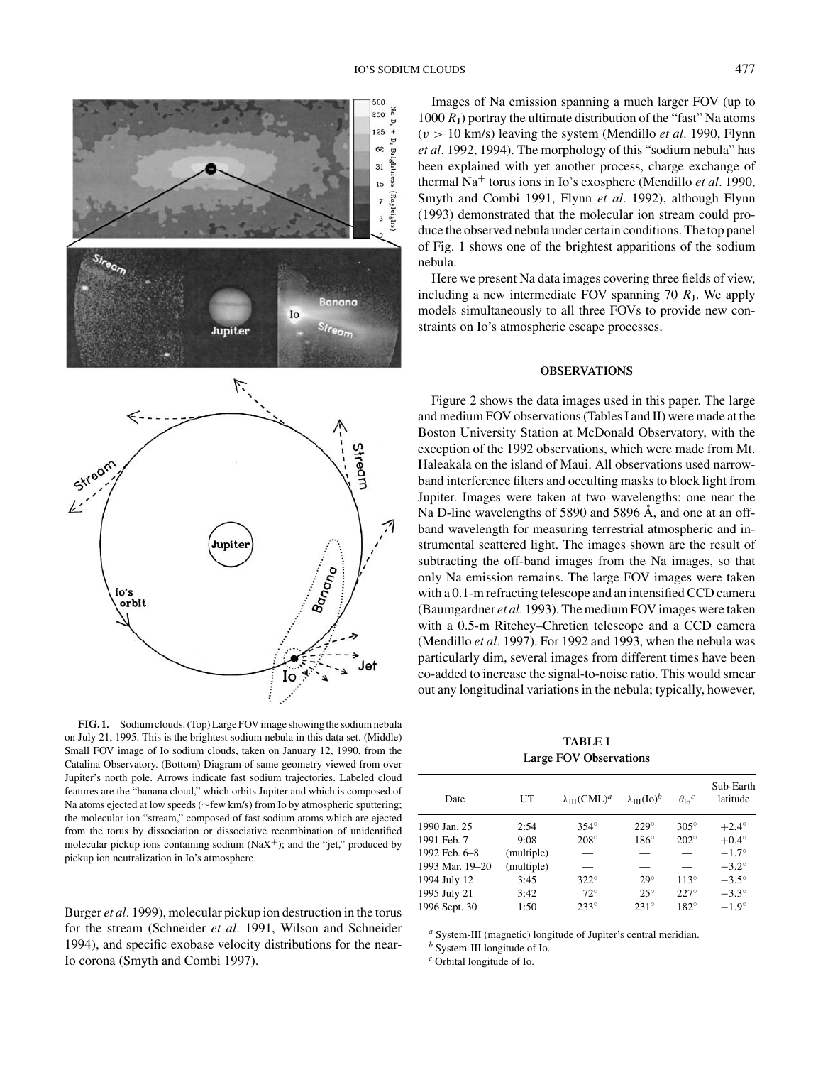

**FIG. 1.** Sodium clouds. (Top) Large FOV image showing the sodium nebula on July 21, 1995. This is the brightest sodium nebula in this data set. (Middle) Small FOV image of Io sodium clouds, taken on January 12, 1990, from the Catalina Observatory. (Bottom) Diagram of same geometry viewed from over Jupiter's north pole. Arrows indicate fast sodium trajectories. Labeled cloud features are the "banana cloud," which orbits Jupiter and which is composed of Na atoms ejected at low speeds (∼few km/s) from Io by atmospheric sputtering; the molecular ion "stream," composed of fast sodium atoms which are ejected from the torus by dissociation or dissociative recombination of unidentified molecular pickup ions containing sodium  $(NaX^{+})$ ; and the "jet," produced by pickup ion neutralization in Io's atmosphere.

Burger *et al.* 1999), molecular pickup ion destruction in the torus for the stream (Schneider *et al.* 1991, Wilson and Schneider 1994), and specific exobase velocity distributions for the near-Io corona (Smyth and Combi 1997).

Images of Na emission spanning a much larger FOV (up to 1000  $R<sub>I</sub>$ ) portray the ultimate distribution of the "fast" Na atoms  $(v > 10$  km/s) leaving the system (Mendillo *et al.* 1990, Flynn *et al.* 1992, 1994). The morphology of this "sodium nebula" has been explained with yet another process, charge exchange of thermal Na<sup>+</sup> torus ions in Io's exosphere (Mendillo *et al.* 1990, Smyth and Combi 1991, Flynn *et al.* 1992), although Flynn (1993) demonstrated that the molecular ion stream could produce the observed nebula under certain conditions. The top panel of Fig. 1 shows one of the brightest apparitions of the sodium nebula.

Here we present Na data images covering three fields of view, including a new intermediate FOV spanning 70  $R<sub>J</sub>$ . We apply models simultaneously to all three FOVs to provide new constraints on Io's atmospheric escape processes.

## **OBSERVATIONS**

Figure 2 shows the data images used in this paper. The large and medium FOV observations (Tables I and II) were made at the Boston University Station at McDonald Observatory, with the exception of the 1992 observations, which were made from Mt. Haleakala on the island of Maui. All observations used narrowband interference filters and occulting masks to block light from Jupiter. Images were taken at two wavelengths: one near the Na D-line wavelengths of 5890 and 5896  $\AA$ , and one at an offband wavelength for measuring terrestrial atmospheric and instrumental scattered light. The images shown are the result of subtracting the off-band images from the Na images, so that only Na emission remains. The large FOV images were taken with a 0.1-m refracting telescope and an intensified CCD camera (Baumgardner *et al.* 1993). The medium FOV images were taken with a 0.5-m Ritchey–Chretien telescope and a CCD camera (Mendillo *et al.* 1997). For 1992 and 1993, when the nebula was particularly dim, several images from different times have been co-added to increase the signal-to-noise ratio. This would smear out any longitudinal variations in the nebula; typically, however,

**TABLE I Large FOV Observations**

| Date            | UT         | $\lambda_{III} (CML)^{a}$ | $\lambda_{\text{III}}(\text{Io})^b$ | $\theta_{\text{I}o}^c$ | Sub-Earth<br>latitude |
|-----------------|------------|---------------------------|-------------------------------------|------------------------|-----------------------|
| 1990 Jan. 25    | 2:54       | $354^\circ$               | $229^\circ$                         | $305^\circ$            | $+2.4^\circ$          |
| 1991 Feb. 7     | 9:08       | $208^\circ$               | $186^\circ$                         | $202^{\circ}$          | $+0.4^\circ$          |
| 1992 Feb. 6-8   | (multiple) |                           |                                     |                        | $-1.7^\circ$          |
| 1993 Mar. 19-20 | (multiple) |                           | _                                   |                        | $-3.2^\circ$          |
| 1994 July 12    | 3:45       | $322^\circ$               | $29^\circ$                          | $113^\circ$            | $-3.5^\circ$          |
| 1995 July 21    | 3:42       | $72^\circ$                | $25^{\circ}$                        | $227^\circ$            | $-3.3^\circ$          |
| 1996 Sept. 30   | 1:50       | $233^\circ$               | $231^\circ$                         | $182^\circ$            | $-1.9^\circ$          |

*<sup>a</sup>* System-III (magnetic) longitude of Jupiter's central meridian.

*<sup>b</sup>* System-III longitude of Io.

*<sup>c</sup>* Orbital longitude of Io.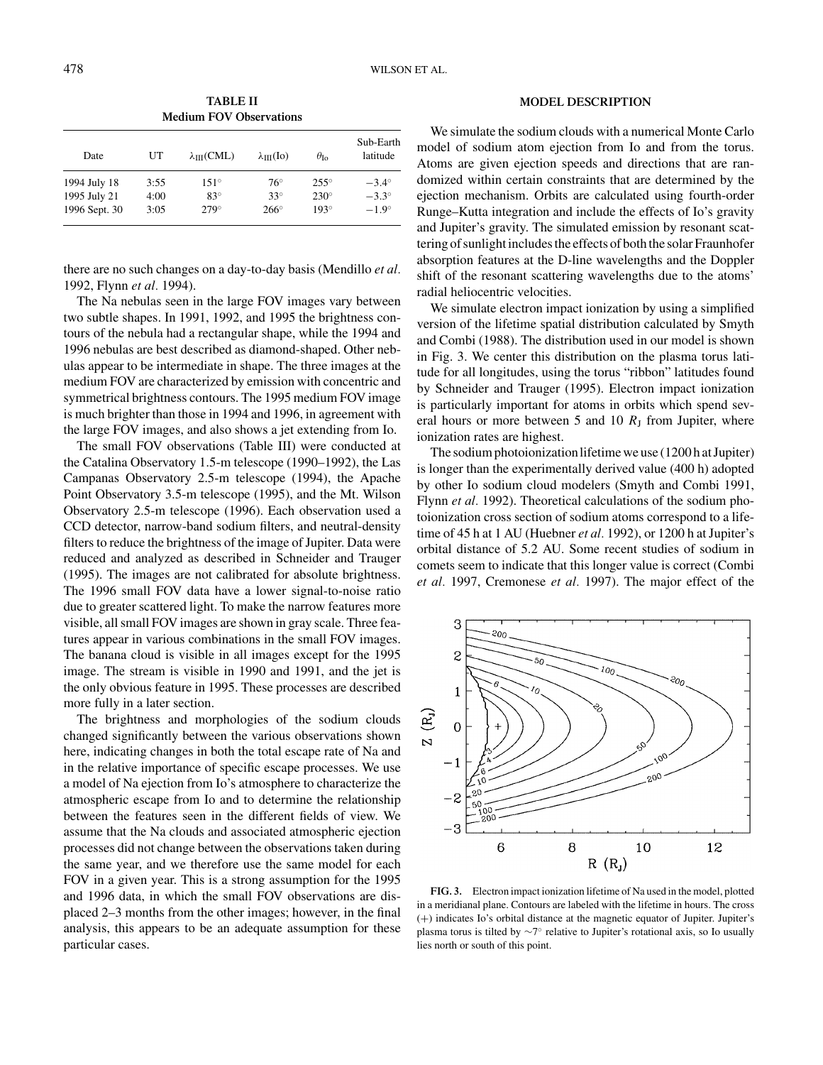| TABLE II |                                |
|----------|--------------------------------|
|          | <b>Medium FOV Observations</b> |

| Date          | UT   | $\lambda_{III}(CML)$ | $\lambda_{\text{III}}(\text{Io})$ | $\theta_{\text{Io}}$ | Sub-Earth<br>latitude |
|---------------|------|----------------------|-----------------------------------|----------------------|-----------------------|
| 1994 July 18  | 3:55 | $151^\circ$          | $76^{\circ}$                      | $255^\circ$          | $-3.4^\circ$          |
| 1995 July 21  | 4:00 | $83^\circ$           | $33^\circ$                        | $230^\circ$          | $-3.3^\circ$          |
| 1996 Sept. 30 | 3:05 | $279^\circ$          | $266^\circ$                       | $193^\circ$          | $-1.9^\circ$          |

there are no such changes on a day-to-day basis (Mendillo *et al.* 1992, Flynn *et al.* 1994).

The Na nebulas seen in the large FOV images vary between two subtle shapes. In 1991, 1992, and 1995 the brightness contours of the nebula had a rectangular shape, while the 1994 and 1996 nebulas are best described as diamond-shaped. Other nebulas appear to be intermediate in shape. The three images at the medium FOV are characterized by emission with concentric and symmetrical brightness contours. The 1995 medium FOV image is much brighter than those in 1994 and 1996, in agreement with the large FOV images, and also shows a jet extending from Io.

The small FOV observations (Table III) were conducted at the Catalina Observatory 1.5-m telescope (1990–1992), the Las Campanas Observatory 2.5-m telescope (1994), the Apache Point Observatory 3.5-m telescope (1995), and the Mt. Wilson Observatory 2.5-m telescope (1996). Each observation used a CCD detector, narrow-band sodium filters, and neutral-density filters to reduce the brightness of the image of Jupiter. Data were reduced and analyzed as described in Schneider and Trauger (1995). The images are not calibrated for absolute brightness. The 1996 small FOV data have a lower signal-to-noise ratio due to greater scattered light. To make the narrow features more visible, all small FOV images are shown in gray scale. Three features appear in various combinations in the small FOV images. The banana cloud is visible in all images except for the 1995 image. The stream is visible in 1990 and 1991, and the jet is the only obvious feature in 1995. These processes are described more fully in a later section.

The brightness and morphologies of the sodium clouds changed significantly between the various observations shown here, indicating changes in both the total escape rate of Na and in the relative importance of specific escape processes. We use a model of Na ejection from Io's atmosphere to characterize the atmospheric escape from Io and to determine the relationship between the features seen in the different fields of view. We assume that the Na clouds and associated atmospheric ejection processes did not change between the observations taken during the same year, and we therefore use the same model for each FOV in a given year. This is a strong assumption for the 1995 and 1996 data, in which the small FOV observations are displaced 2–3 months from the other images; however, in the final analysis, this appears to be an adequate assumption for these particular cases.

## **MODEL DESCRIPTION**

We simulate the sodium clouds with a numerical Monte Carlo model of sodium atom ejection from Io and from the torus. Atoms are given ejection speeds and directions that are randomized within certain constraints that are determined by the ejection mechanism. Orbits are calculated using fourth-order Runge–Kutta integration and include the effects of Io's gravity and Jupiter's gravity. The simulated emission by resonant scattering of sunlight includes the effects of both the solar Fraunhofer absorption features at the D-line wavelengths and the Doppler shift of the resonant scattering wavelengths due to the atoms' radial heliocentric velocities.

We simulate electron impact ionization by using a simplified version of the lifetime spatial distribution calculated by Smyth and Combi (1988). The distribution used in our model is shown in Fig. 3. We center this distribution on the plasma torus latitude for all longitudes, using the torus "ribbon" latitudes found by Schneider and Trauger (1995). Electron impact ionization is particularly important for atoms in orbits which spend several hours or more between 5 and 10  $R<sub>J</sub>$  from Jupiter, where ionization rates are highest.

The sodium photoionizationlifetime we use (1200 h at Jupiter) is longer than the experimentally derived value (400 h) adopted by other Io sodium cloud modelers (Smyth and Combi 1991, Flynn *et al.* 1992). Theoretical calculations of the sodium photoionization cross section of sodium atoms correspond to a lifetime of 45 h at 1 AU (Huebner *et al.* 1992), or 1200 h at Jupiter's orbital distance of 5.2 AU. Some recent studies of sodium in comets seem to indicate that this longer value is correct (Combi *et al.* 1997, Cremonese *et al.* 1997). The major effect of the



**FIG. 3.** Electron impact ionization lifetime of Na used in the model, plotted in a meridianal plane. Contours are labeled with the lifetime in hours. The cross (+) indicates Io's orbital distance at the magnetic equator of Jupiter. Jupiter's plasma torus is tilted by  $\sim$ 7° relative to Jupiter's rotational axis, so Io usually lies north or south of this point.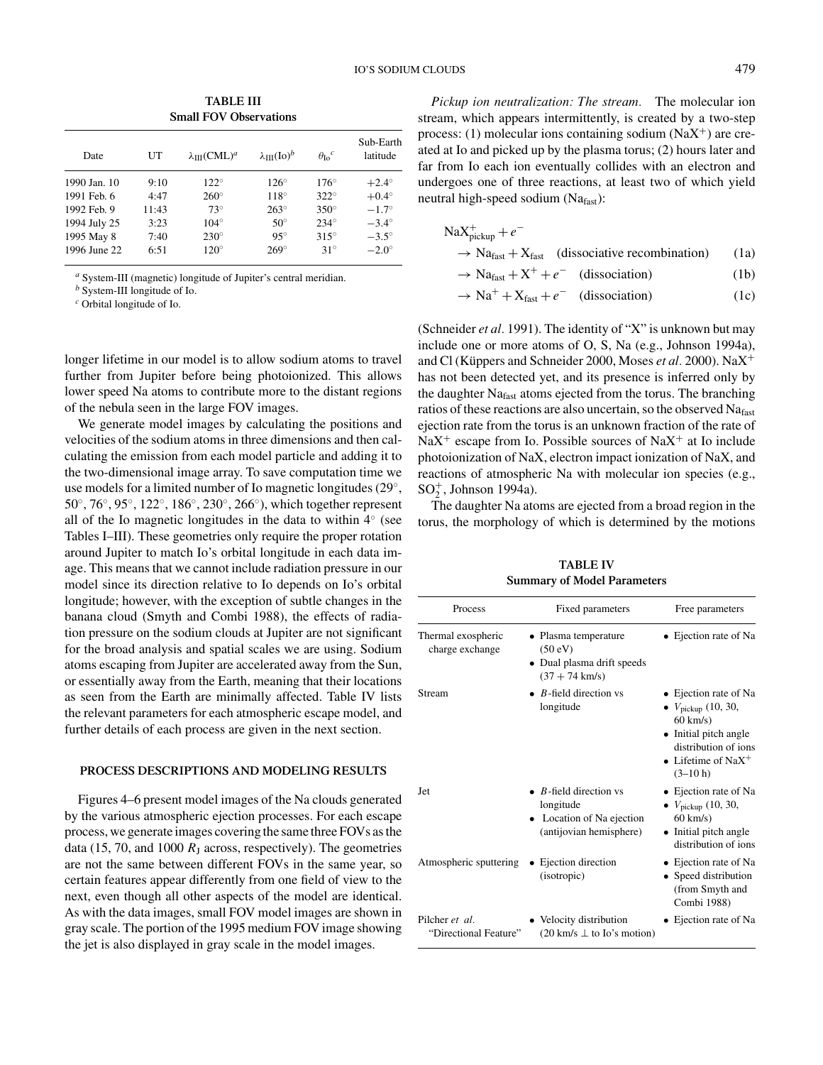**TABLE III Small FOV Observations**

| Date         | UT    | $\lambda_{III} (CML)^d$ | $\lambda_{III}(\text{Io})^b$ | $\theta_{\text{Io}}^c$ | Sub-Earth<br>latitude |
|--------------|-------|-------------------------|------------------------------|------------------------|-----------------------|
| 1990 Jan. 10 | 9:10  | $122^{\circ}$           | $126^\circ$                  | $176^\circ$            | $+2.4^\circ$          |
| 1991 Feb. 6  | 4:47  | $260^\circ$             | $118^\circ$                  | $322^\circ$            | $+0.4^\circ$          |
| 1992 Feb. 9  | 11:43 | $73^\circ$              | $263^\circ$                  | $350^\circ$            | $-1.7^\circ$          |
| 1994 July 25 | 3:23  | $104^\circ$             | $50^{\circ}$                 | $234^\circ$            | $-3.4^\circ$          |
| 1995 May 8   | 7:40  | $230^\circ$             | $95^\circ$                   | $315^\circ$            | $-3.5^\circ$          |
| 1996 June 22 | 6:51  | $120^\circ$             | $269^\circ$                  | $31^\circ$             | $-2.0^\circ$          |

*<sup>a</sup>* System-III (magnetic) longitude of Jupiter's central meridian.

*<sup>b</sup>* System-III longitude of Io.

*<sup>c</sup>* Orbital longitude of Io.

longer lifetime in our model is to allow sodium atoms to travel further from Jupiter before being photoionized. This allows lower speed Na atoms to contribute more to the distant regions of the nebula seen in the large FOV images.

We generate model images by calculating the positions and velocities of the sodium atoms in three dimensions and then calculating the emission from each model particle and adding it to the two-dimensional image array. To save computation time we use models for a limited number of Io magnetic longitudes (29◦, 50◦, 76◦, 95◦, 122◦, 186◦, 230◦, 266◦), which together represent all of the Io magnetic longitudes in the data to within 4◦ (see Tables I–III). These geometries only require the proper rotation around Jupiter to match Io's orbital longitude in each data image. This means that we cannot include radiation pressure in our model since its direction relative to Io depends on Io's orbital longitude; however, with the exception of subtle changes in the banana cloud (Smyth and Combi 1988), the effects of radiation pressure on the sodium clouds at Jupiter are not significant for the broad analysis and spatial scales we are using. Sodium atoms escaping from Jupiter are accelerated away from the Sun, or essentially away from the Earth, meaning that their locations as seen from the Earth are minimally affected. Table IV lists the relevant parameters for each atmospheric escape model, and further details of each process are given in the next section.

# **PROCESS DESCRIPTIONS AND MODELING RESULTS**

Figures 4–6 present model images of the Na clouds generated by the various atmospheric ejection processes. For each escape process, we generate images covering the same three FOVs as the data (15, 70, and 1000  $R<sub>I</sub>$  across, respectively). The geometries are not the same between different FOVs in the same year, so certain features appear differently from one field of view to the next, even though all other aspects of the model are identical. As with the data images, small FOV model images are shown in gray scale. The portion of the 1995 medium FOV image showing the jet is also displayed in gray scale in the model images.

*Pickup ion neutralization: The stream.* The molecular ion stream, which appears intermittently, is created by a two-step process: (1) molecular ions containing sodium  $(NaX^{+})$  are created at Io and picked up by the plasma torus; (2) hours later and far from Io each ion eventually collides with an electron and undergoes one of three reactions, at least two of which yield neutral high-speed sodium  $(Na<sub>fast</sub>)$ :

$$
NaX^{+}_{\text{pickup}} + e^{-}
$$
\n
$$
\rightarrow Na_{\text{fast}} + X_{\text{fast}}
$$
 (dissociative recombination) (1a)\n
$$
\rightarrow Na_{\text{fast}} + X^{+} + e^{-}
$$
 (disociation) (1b)

 $\rightarrow$  Na<sub>fast</sub> + X<sup>+</sup> +  $e^-$  (dissociation) (1b)

 $\rightarrow$  Na<sup>+</sup> + X<sub>fast</sub> + e<sup>-</sup> (dissociation) (1c)

(Schneider *et al.* 1991). The identity of "X" is unknown but may include one or more atoms of O, S, Na (e.g., Johnson 1994a), and Cl (Küppers and Schneider 2000, Moses et al. 2000). NaX<sup>+</sup> has not been detected yet, and its presence is inferred only by the daughter Nafast atoms ejected from the torus. The branching ratios of these reactions are also uncertain, so the observed Nafast ejection rate from the torus is an unknown fraction of the rate of  $\text{NaX}^+$  escape from Io. Possible sources of NaX<sup>+</sup> at Io include photoionization of NaX, electron impact ionization of NaX, and reactions of atmospheric Na with molecular ion species (e.g.,  $SO_2^+$ , Johnson 1994a).

The daughter Na atoms are ejected from a broad region in the torus, the morphology of which is determined by the motions

Process Fixed parameters Free parameters Thermal exospheric • Plasma temperature • Ejection rate of Na<br>charge exchange (50 eV) charge exchange • Dual plasma drift speeds  $(37 + 74 \text{ km/s})$ Stream • *B*-field direction vs • Ejection rate of Na<br>longitude •  $V_{\text{nickun}}$  (10, 30, • *V*pickup (10, 30, 60 km/s) • Initial pitch angle distribution of ions • Lifetime of Na $X^+$  $(3-10 h)$ Jet • *B*-field direction vs • Ejection rate of Na<br>longitude •  $V_{\text{nickun}}$  (10, 30, • *V*<sub>pickup</sub> (10, 30, 60 km/s) • Location of Na ejection 60 km/s)<br>(antijovian hemisphere) • Initial pitch angle (antijovian hemisphere) distribution of ions Atmospheric sputtering • Ejection direction • Ejection rate of Na<br>
(isotropic) • Speed distribution • Speed distribution (from Smyth and Combi 1988) Pilcher *et al.* • Velocity distribution • Ejection rate of Na<br>
"Directional Feature" (20 km/s  $\perp$  to Io's motion)  $(20 \text{ km/s } \perp \text{ to Io's motion})$ 

**TABLE IV Summary of Model Parameters**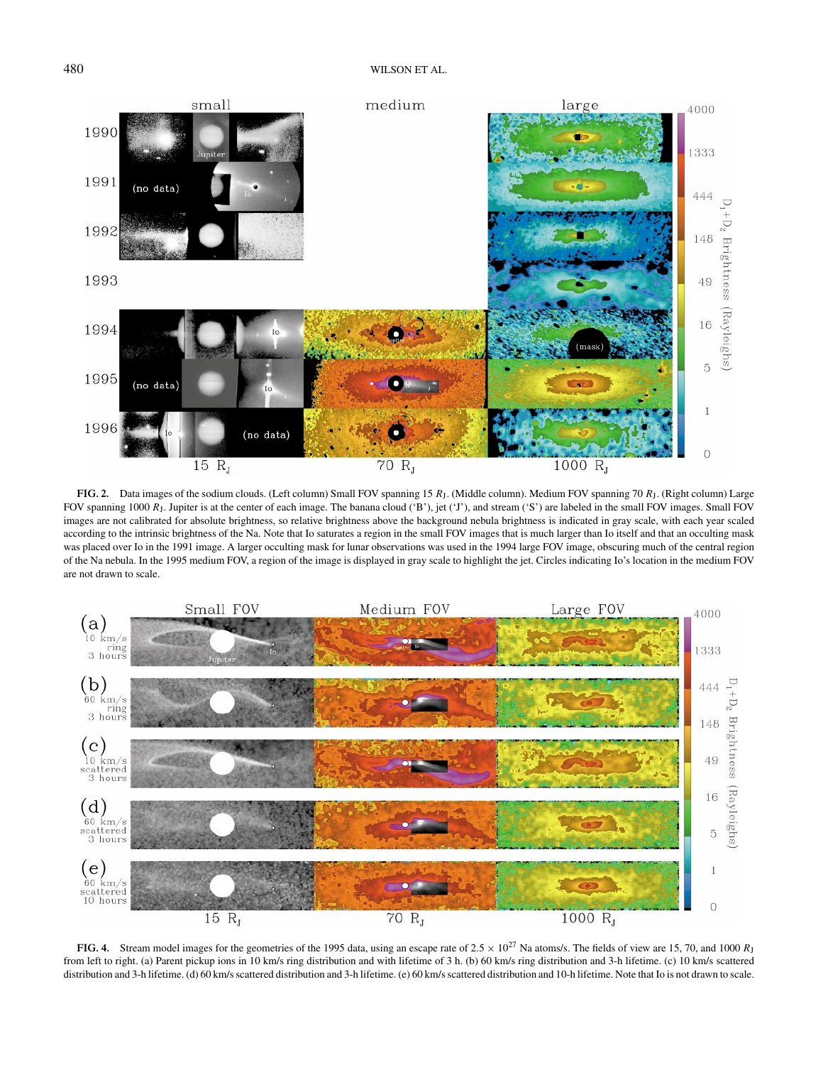

**FIG. 2.** Data images of the sodium clouds. (Left column) Small FOV spanning 15 *R*J. (Middle column). Medium FOV spanning 70 *R*J. (Right column) Large FOV spanning 1000  $R<sub>1</sub>$ . Jupiter is at the center of each image. The banana cloud ('B'), jet ('J'), and stream ('S') are labeled in the small FOV images. Small FOV images are not calibrated for absolute brightness, so relative brightness above the background nebula brightness is indicated in gray scale, with each year scaled according to the intrinsic brightness of the Na. Note that Io saturates a region in the small FOV images that is much larger than Io itself and that an occulting mask was placed over Io in the 1991 image. A larger occulting mask for lunar observations was used in the 1994 large FOV image, obscuring much of the central region of the Na nebula. In the 1995 medium FOV, a region of the image is displayed in gray scale to highlight the jet. Circles indicating Io's location in the medium FOV are not drawn to scale.



**FIG. 4.** Stream model images for the geometries of the 1995 data, using an escape rate of  $2.5 \times 10^{27}$  Na atoms/s. The fields of view are 15, 70, and 1000 *R*<sub>J</sub> from left to right. (a) Parent pickup ions in 10 km/s ring distribution and with lifetime of 3 h. (b) 60 km/s ring distribution and 3-h lifetime. (c) 10 km/s scattered distribution and 3-h lifetime. (d) 60 km/s scattered distribution and 3-h lifetime. (e) 60 km/s scattered distribution and 10-h lifetime. Note that Io is not drawn to scale.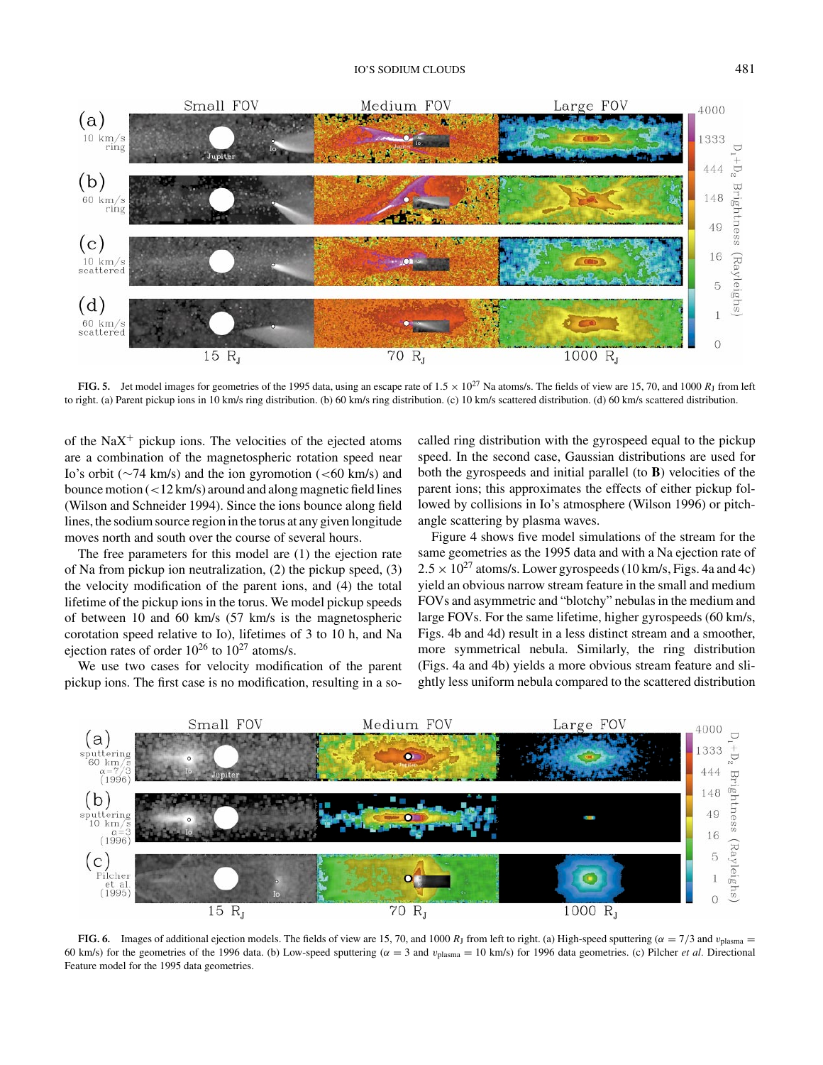

**FIG. 5.** Jet model images for geometries of the 1995 data, using an escape rate of  $1.5 \times 10^{27}$  Na atoms/s. The fields of view are 15, 70, and 1000 *R<sub>1</sub>* from left to right. (a) Parent pickup ions in 10 km/s ring distribution. (b) 60 km/s ring distribution. (c) 10 km/s scattered distribution. (d) 60 km/s scattered distribution.

of the Na $X^+$  pickup ions. The velocities of the ejected atoms are a combination of the magnetospheric rotation speed near Io's orbit (∼74 km/s) and the ion gyromotion (<60 km/s) and bounce motion (<12 km/s) around and along magnetic field lines (Wilson and Schneider 1994). Since the ions bounce along field lines, the sodium source region in the torus at any given longitude moves north and south over the course of several hours.

The free parameters for this model are (1) the ejection rate of Na from pickup ion neutralization, (2) the pickup speed, (3) the velocity modification of the parent ions, and (4) the total lifetime of the pickup ions in the torus. We model pickup speeds of between 10 and 60 km/s (57 km/s is the magnetospheric corotation speed relative to Io), lifetimes of 3 to 10 h, and Na ejection rates of order  $10^{26}$  to  $10^{27}$  atoms/s.

We use two cases for velocity modification of the parent pickup ions. The first case is no modification, resulting in a socalled ring distribution with the gyrospeed equal to the pickup speed. In the second case, Gaussian distributions are used for both the gyrospeeds and initial parallel (to **B**) velocities of the parent ions; this approximates the effects of either pickup followed by collisions in Io's atmosphere (Wilson 1996) or pitchangle scattering by plasma waves.

Figure 4 shows five model simulations of the stream for the same geometries as the 1995 data and with a Na ejection rate of  $2.5 \times 10^{27}$  atoms/s. Lower gyrospeeds (10 km/s, Figs. 4a and 4c) yield an obvious narrow stream feature in the small and medium FOVs and asymmetric and "blotchy" nebulas in the medium and large FOVs. For the same lifetime, higher gyrospeeds (60 km/s, Figs. 4b and 4d) result in a less distinct stream and a smoother, more symmetrical nebula. Similarly, the ring distribution (Figs. 4a and 4b) yields a more obvious stream feature and slightly less uniform nebula compared to the scattered distribution



**FIG. 6.** Images of additional ejection models. The fields of view are 15, 70, and 1000 *R*<sub>J</sub> from left to right. (a) High-speed sputtering ( $\alpha = 7/3$  and  $v_{\text{plasma}} =$ 60 km/s) for the geometries of the 1996 data. (b) Low-speed sputtering ( $\alpha = 3$  and  $v_{\text{plasma}} = 10$  km/s) for 1996 data geometries. (c) Pilcher *et al.* Directional Feature model for the 1995 data geometries.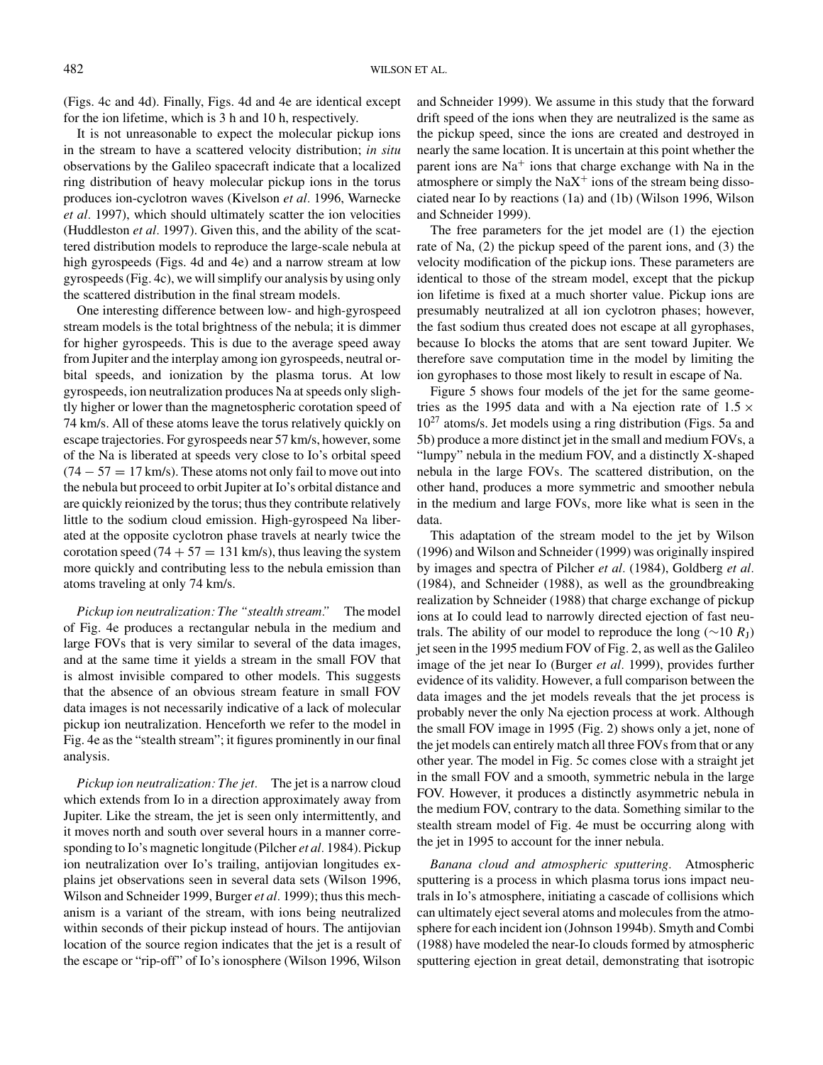(Figs. 4c and 4d). Finally, Figs. 4d and 4e are identical except for the ion lifetime, which is 3 h and 10 h, respectively.

It is not unreasonable to expect the molecular pickup ions in the stream to have a scattered velocity distribution; *in situ* observations by the Galileo spacecraft indicate that a localized ring distribution of heavy molecular pickup ions in the torus produces ion-cyclotron waves (Kivelson *et al.* 1996, Warnecke *et al.* 1997), which should ultimately scatter the ion velocities (Huddleston *et al.* 1997). Given this, and the ability of the scattered distribution models to reproduce the large-scale nebula at high gyrospeeds (Figs. 4d and 4e) and a narrow stream at low gyrospeeds (Fig. 4c), we will simplify our analysis by using only the scattered distribution in the final stream models.

One interesting difference between low- and high-gyrospeed stream models is the total brightness of the nebula; it is dimmer for higher gyrospeeds. This is due to the average speed away from Jupiter and the interplay among ion gyrospeeds, neutral orbital speeds, and ionization by the plasma torus. At low gyrospeeds, ion neutralization produces Na at speeds only slightly higher or lower than the magnetospheric corotation speed of 74 km/s. All of these atoms leave the torus relatively quickly on escape trajectories. For gyrospeeds near 57 km/s, however, some of the Na is liberated at speeds very close to Io's orbital speed  $(74 - 57 = 17$  km/s). These atoms not only fail to move out into the nebula but proceed to orbit Jupiter at Io's orbital distance and are quickly reionized by the torus; thus they contribute relatively little to the sodium cloud emission. High-gyrospeed Na liberated at the opposite cyclotron phase travels at nearly twice the corotation speed  $(74 + 57 = 131$  km/s), thus leaving the system more quickly and contributing less to the nebula emission than atoms traveling at only 74 km/s.

*Pickup ion neutralization: The "stealth stream."* The model of Fig. 4e produces a rectangular nebula in the medium and large FOVs that is very similar to several of the data images, and at the same time it yields a stream in the small FOV that is almost invisible compared to other models. This suggests that the absence of an obvious stream feature in small FOV data images is not necessarily indicative of a lack of molecular pickup ion neutralization. Henceforth we refer to the model in Fig. 4e as the "stealth stream"; it figures prominently in our final analysis.

*Pickup ion neutralization: The jet.* The jet is a narrow cloud which extends from Io in a direction approximately away from Jupiter. Like the stream, the jet is seen only intermittently, and it moves north and south over several hours in a manner corresponding to Io's magnetic longitude (Pilcher *et al.* 1984). Pickup ion neutralization over Io's trailing, antijovian longitudes explains jet observations seen in several data sets (Wilson 1996, Wilson and Schneider 1999, Burger *et al.* 1999); thus this mechanism is a variant of the stream, with ions being neutralized within seconds of their pickup instead of hours. The antijovian location of the source region indicates that the jet is a result of the escape or "rip-off" of Io's ionosphere (Wilson 1996, Wilson

and Schneider 1999). We assume in this study that the forward drift speed of the ions when they are neutralized is the same as the pickup speed, since the ions are created and destroyed in nearly the same location. It is uncertain at this point whether the parent ions are  $Na<sup>+</sup>$  ions that charge exchange with Na in the atmosphere or simply the  $\text{NaX}^+$  ions of the stream being dissociated near Io by reactions (1a) and (1b) (Wilson 1996, Wilson and Schneider 1999).

The free parameters for the jet model are (1) the ejection rate of Na, (2) the pickup speed of the parent ions, and (3) the velocity modification of the pickup ions. These parameters are identical to those of the stream model, except that the pickup ion lifetime is fixed at a much shorter value. Pickup ions are presumably neutralized at all ion cyclotron phases; however, the fast sodium thus created does not escape at all gyrophases, because Io blocks the atoms that are sent toward Jupiter. We therefore save computation time in the model by limiting the ion gyrophases to those most likely to result in escape of Na.

Figure 5 shows four models of the jet for the same geometries as the 1995 data and with a Na ejection rate of  $1.5 \times$  $10^{27}$  atoms/s. Jet models using a ring distribution (Figs. 5a and 5b) produce a more distinct jet in the small and medium FOVs, a "lumpy" nebula in the medium FOV, and a distinctly X-shaped nebula in the large FOVs. The scattered distribution, on the other hand, produces a more symmetric and smoother nebula in the medium and large FOVs, more like what is seen in the data.

This adaptation of the stream model to the jet by Wilson (1996) and Wilson and Schneider (1999) was originally inspired by images and spectra of Pilcher *et al.* (1984), Goldberg *et al.* (1984), and Schneider (1988), as well as the groundbreaking realization by Schneider (1988) that charge exchange of pickup ions at Io could lead to narrowly directed ejection of fast neutrals. The ability of our model to reproduce the long ( $\sim$ 10  $R_{\rm I}$ ) jet seen in the 1995 medium FOV of Fig. 2, as well as the Galileo image of the jet near Io (Burger *et al.* 1999), provides further evidence of its validity. However, a full comparison between the data images and the jet models reveals that the jet process is probably never the only Na ejection process at work. Although the small FOV image in 1995 (Fig. 2) shows only a jet, none of the jet models can entirely match all three FOVs from that or any other year. The model in Fig. 5c comes close with a straight jet in the small FOV and a smooth, symmetric nebula in the large FOV. However, it produces a distinctly asymmetric nebula in the medium FOV, contrary to the data. Something similar to the stealth stream model of Fig. 4e must be occurring along with the jet in 1995 to account for the inner nebula.

*Banana cloud and atmospheric sputtering.* Atmospheric sputtering is a process in which plasma torus ions impact neutrals in Io's atmosphere, initiating a cascade of collisions which can ultimately eject several atoms and molecules from the atmosphere for each incident ion (Johnson 1994b). Smyth and Combi (1988) have modeled the near-Io clouds formed by atmospheric sputtering ejection in great detail, demonstrating that isotropic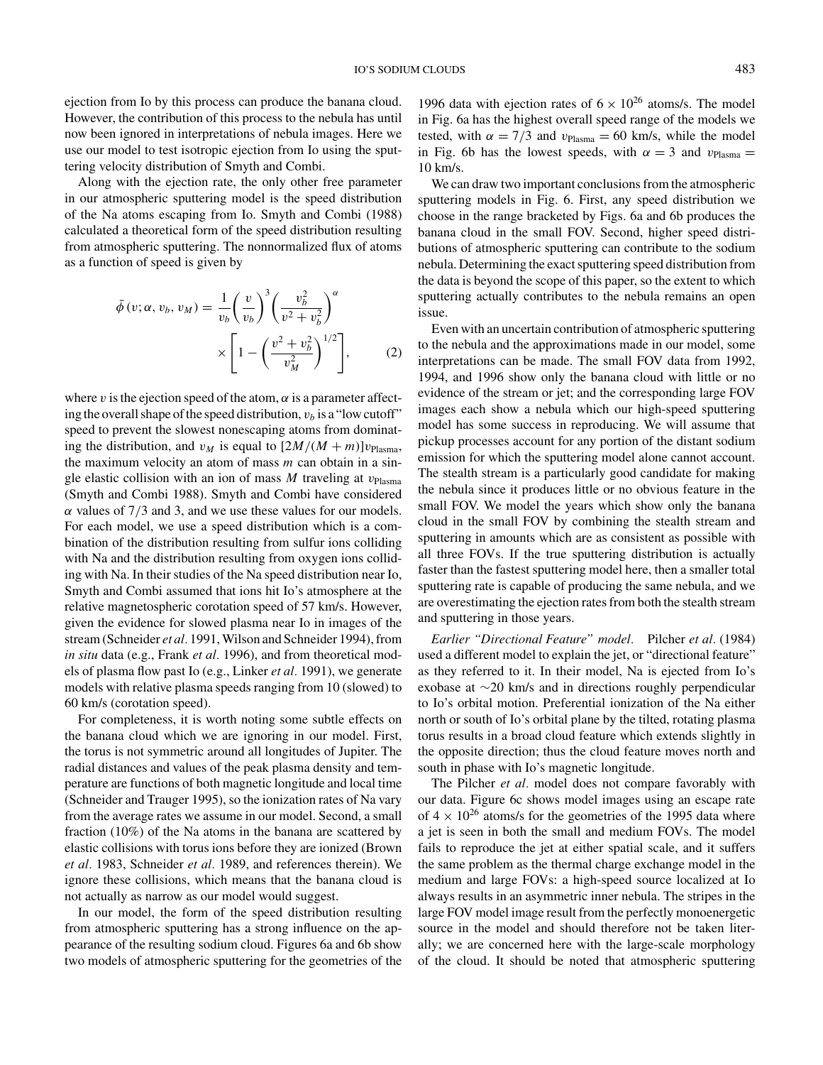ejection from Io by this process can produce the banana cloud. However, the contribution of this process to the nebula has until now been ignored in interpretations of nebula images. Here we use our model to test isotropic ejection from Io using the sputtering velocity distribution of Smyth and Combi.

Along with the ejection rate, the only other free parameter in our atmospheric sputtering model is the speed distribution of the Na atoms escaping from Io. Smyth and Combi (1988) calculated a theoretical form of the speed distribution resulting from atmospheric sputtering. The nonnormalized flux of atoms as a function of speed is given by

$$
\bar{\phi}(v; \alpha, v_b, v_M) = \frac{1}{v_b} \left(\frac{v}{v_b}\right)^3 \left(\frac{v_b^2}{v^2 + v_b^2}\right)^\alpha
$$
\n
$$
\times \left[1 - \left(\frac{v^2 + v_b^2}{v_M^2}\right)^{1/2}\right],\tag{2}
$$

where v is the ejection speed of the atom,  $\alpha$  is a parameter affecting the overall shape of the speed distribution,  $v<sub>b</sub>$  is a "low cutoff" speed to prevent the slowest nonescaping atoms from dominating the distribution, and  $v_M$  is equal to  $[2M/(M+m)]v_{\text{Plasma}}$ , the maximum velocity an atom of mass *m* can obtain in a single elastic collision with an ion of mass  $M$  traveling at  $v_{Plasma}$ (Smyth and Combi 1988). Smyth and Combi have considered  $\alpha$  values of 7/3 and 3, and we use these values for our models. For each model, we use a speed distribution which is a combination of the distribution resulting from sulfur ions colliding with Na and the distribution resulting from oxygen ions colliding with Na. In their studies of the Na speed distribution near Io, Smyth and Combi assumed that ions hit Io's atmosphere at the relative magnetospheric corotation speed of 57 km/s. However, given the evidence for slowed plasma near Io in images of the stream (Schneider *et al.* 1991, Wilson and Schneider 1994), from *in situ* data (e.g., Frank *et al.* 1996), and from theoretical models of plasma flow past Io (e.g., Linker *et al.* 1991), we generate models with relative plasma speeds ranging from 10 (slowed) to 60 km/s (corotation speed).

For completeness, it is worth noting some subtle effects on the banana cloud which we are ignoring in our model. First, the torus is not symmetric around all longitudes of Jupiter. The radial distances and values of the peak plasma density and temperature are functions of both magnetic longitude and local time (Schneider and Trauger 1995), so the ionization rates of Na vary from the average rates we assume in our model. Second, a small fraction (10%) of the Na atoms in the banana are scattered by elastic collisions with torus ions before they are ionized (Brown *et al.* 1983, Schneider *et al.* 1989, and references therein). We ignore these collisions, which means that the banana cloud is not actually as narrow as our model would suggest.

In our model, the form of the speed distribution resulting from atmospheric sputtering has a strong influence on the appearance of the resulting sodium cloud. Figures 6a and 6b show two models of atmospheric sputtering for the geometries of the

1996 data with ejection rates of  $6 \times 10^{26}$  atoms/s. The model in Fig. 6a has the highest overall speed range of the models we tested, with  $\alpha = 7/3$  and  $v_{Plasma} = 60$  km/s, while the model in Fig. 6b has the lowest speeds, with  $\alpha = 3$  and  $v_{Plasma} =$ 10 km/s.

We can draw two important conclusions from the atmospheric sputtering models in Fig. 6. First, any speed distribution we choose in the range bracketed by Figs. 6a and 6b produces the banana cloud in the small FOV. Second, higher speed distributions of atmospheric sputtering can contribute to the sodium nebula. Determining the exact sputtering speed distribution from the data is beyond the scope of this paper, so the extent to which sputtering actually contributes to the nebula remains an open issue.

Even with an uncertain contribution of atmospheric sputtering to the nebula and the approximations made in our model, some interpretations can be made. The small FOV data from 1992, 1994, and 1996 show only the banana cloud with little or no evidence of the stream or jet; and the corresponding large FOV images each show a nebula which our high-speed sputtering model has some success in reproducing. We will assume that pickup processes account for any portion of the distant sodium emission for which the sputtering model alone cannot account. The stealth stream is a particularly good candidate for making the nebula since it produces little or no obvious feature in the small FOV. We model the years which show only the banana cloud in the small FOV by combining the stealth stream and sputtering in amounts which are as consistent as possible with all three FOVs. If the true sputtering distribution is actually faster than the fastest sputtering model here, then a smaller total sputtering rate is capable of producing the same nebula, and we are overestimating the ejection rates from both the stealth stream and sputtering in those years.

*Earlier "Directional Feature" model.* Pilcher *et al.* (1984) used a different model to explain the jet, or "directional feature" as they referred to it. In their model, Na is ejected from Io's exobase at ∼20 km/s and in directions roughly perpendicular to Io's orbital motion. Preferential ionization of the Na either north or south of Io's orbital plane by the tilted, rotating plasma torus results in a broad cloud feature which extends slightly in the opposite direction; thus the cloud feature moves north and south in phase with Io's magnetic longitude.

The Pilcher *et al.* model does not compare favorably with our data. Figure 6c shows model images using an escape rate of  $4 \times 10^{26}$  atoms/s for the geometries of the 1995 data where a jet is seen in both the small and medium FOVs. The model fails to reproduce the jet at either spatial scale, and it suffers the same problem as the thermal charge exchange model in the medium and large FOVs: a high-speed source localized at Io always results in an asymmetric inner nebula. The stripes in the large FOV model image result from the perfectly monoenergetic source in the model and should therefore not be taken literally; we are concerned here with the large-scale morphology of the cloud. It should be noted that atmospheric sputtering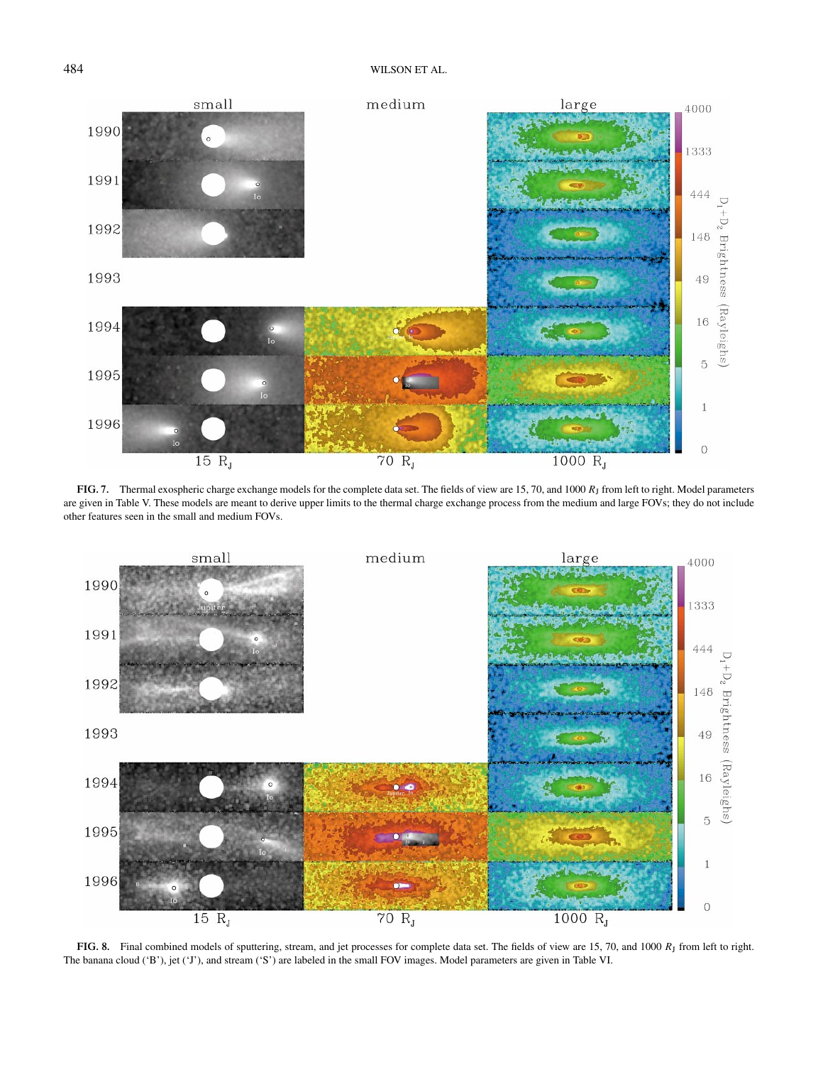

**FIG. 7.** Thermal exospheric charge exchange models for the complete data set. The fields of view are 15, 70, and 1000 *R*<sup>J</sup> from left to right. Model parameters are given in Table V. These models are meant to derive upper limits to the thermal charge exchange process from the medium and large FOVs; they do not include other features seen in the small and medium FOVs.



FIG. 8. Final combined models of sputtering, stream, and jet processes for complete data set. The fields of view are 15, 70, and 1000 *R*<sub>J</sub> from left to right. The banana cloud ('B'), jet ('J'), and stream ('S') are labeled in the small FOV images. Model parameters are given in Table VI.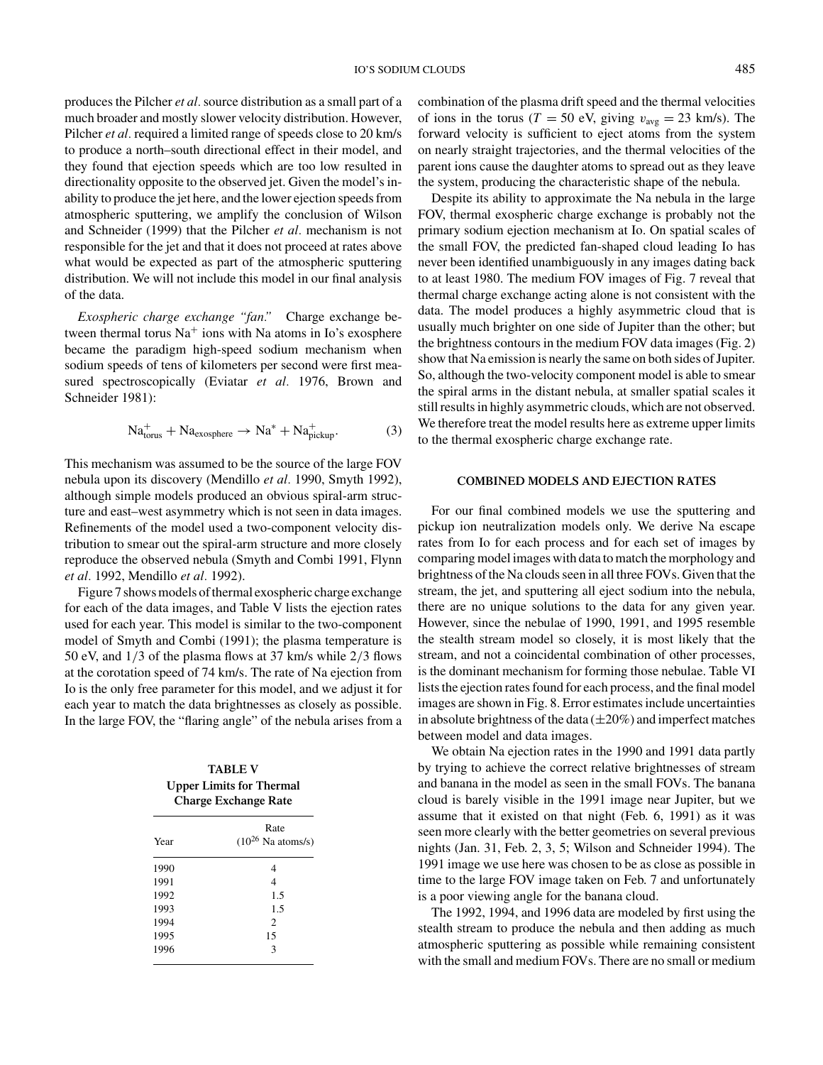produces the Pilcher *et al.*source distribution as a small part of a much broader and mostly slower velocity distribution. However, Pilcher *et al.* required a limited range of speeds close to 20 km/s to produce a north–south directional effect in their model, and they found that ejection speeds which are too low resulted in directionality opposite to the observed jet. Given the model's inability to produce the jet here, and the lower ejection speeds from atmospheric sputtering, we amplify the conclusion of Wilson and Schneider (1999) that the Pilcher *et al.* mechanism is not responsible for the jet and that it does not proceed at rates above what would be expected as part of the atmospheric sputtering distribution. We will not include this model in our final analysis of the data.

*Exospheric charge exchange "fan."* Charge exchange between thermal torus  $Na<sup>+</sup>$  ions with Na atoms in Io's exosphere became the paradigm high-speed sodium mechanism when sodium speeds of tens of kilometers per second were first measured spectroscopically (Eviatar *et al.* 1976, Brown and Schneider 1981):

$$
Natorus+ + Naexosphere \rightarrow Na* + Napickup+.
$$
 (3)

This mechanism was assumed to be the source of the large FOV nebula upon its discovery (Mendillo *et al.* 1990, Smyth 1992), although simple models produced an obvious spiral-arm structure and east–west asymmetry which is not seen in data images. Refinements of the model used a two-component velocity distribution to smear out the spiral-arm structure and more closely reproduce the observed nebula (Smyth and Combi 1991, Flynn *et al.* 1992, Mendillo *et al.* 1992).

Figure 7 shows models of thermal exospheric charge exchange for each of the data images, and Table V lists the ejection rates used for each year. This model is similar to the two-component model of Smyth and Combi (1991); the plasma temperature is 50 eV, and 1/3 of the plasma flows at 37 km/s while 2/3 flows at the corotation speed of 74 km/s. The rate of Na ejection from Io is the only free parameter for this model, and we adjust it for each year to match the data brightnesses as closely as possible. In the large FOV, the "flaring angle" of the nebula arises from a

**TABLE V Upper Limits for Thermal Charge Exchange Rate**

| Year | Rate<br>$(10^{26}$ Na atoms/s) |  |  |
|------|--------------------------------|--|--|
| 1990 | 4                              |  |  |
| 1991 | $\overline{4}$                 |  |  |
| 1992 | 1.5                            |  |  |
| 1993 | 1.5                            |  |  |
| 1994 | $\overline{c}$                 |  |  |
| 1995 | 15                             |  |  |
| 1996 | $\mathbf{3}$                   |  |  |

combination of the plasma drift speed and the thermal velocities of ions in the torus ( $T = 50$  eV, giving  $v_{\text{avg}} = 23$  km/s). The forward velocity is sufficient to eject atoms from the system on nearly straight trajectories, and the thermal velocities of the parent ions cause the daughter atoms to spread out as they leave the system, producing the characteristic shape of the nebula.

Despite its ability to approximate the Na nebula in the large FOV, thermal exospheric charge exchange is probably not the primary sodium ejection mechanism at Io. On spatial scales of the small FOV, the predicted fan-shaped cloud leading Io has never been identified unambiguously in any images dating back to at least 1980. The medium FOV images of Fig. 7 reveal that thermal charge exchange acting alone is not consistent with the data. The model produces a highly asymmetric cloud that is usually much brighter on one side of Jupiter than the other; but the brightness contours in the medium FOV data images (Fig. 2) show that Na emission is nearly the same on both sides of Jupiter. So, although the two-velocity component model is able to smear the spiral arms in the distant nebula, at smaller spatial scales it still results in highly asymmetric clouds, which are not observed. We therefore treat the model results here as extreme upper limits to the thermal exospheric charge exchange rate.

#### **COMBINED MODELS AND EJECTION RATES**

For our final combined models we use the sputtering and pickup ion neutralization models only. We derive Na escape rates from Io for each process and for each set of images by comparing model images with data to match the morphology and brightness of the Na clouds seen in all three FOVs. Given that the stream, the jet, and sputtering all eject sodium into the nebula, there are no unique solutions to the data for any given year. However, since the nebulae of 1990, 1991, and 1995 resemble the stealth stream model so closely, it is most likely that the stream, and not a coincidental combination of other processes, is the dominant mechanism for forming those nebulae. Table VI lists the ejection rates found for each process, and the final model images are shown in Fig. 8. Error estimates include uncertainties in absolute brightness of the data  $(\pm 20\%)$  and imperfect matches between model and data images.

We obtain Na ejection rates in the 1990 and 1991 data partly by trying to achieve the correct relative brightnesses of stream and banana in the model as seen in the small FOVs. The banana cloud is barely visible in the 1991 image near Jupiter, but we assume that it existed on that night (Feb. 6, 1991) as it was seen more clearly with the better geometries on several previous nights (Jan. 31, Feb. 2, 3, 5; Wilson and Schneider 1994). The 1991 image we use here was chosen to be as close as possible in time to the large FOV image taken on Feb. 7 and unfortunately is a poor viewing angle for the banana cloud.

The 1992, 1994, and 1996 data are modeled by first using the stealth stream to produce the nebula and then adding as much atmospheric sputtering as possible while remaining consistent with the small and medium FOVs. There are no small or medium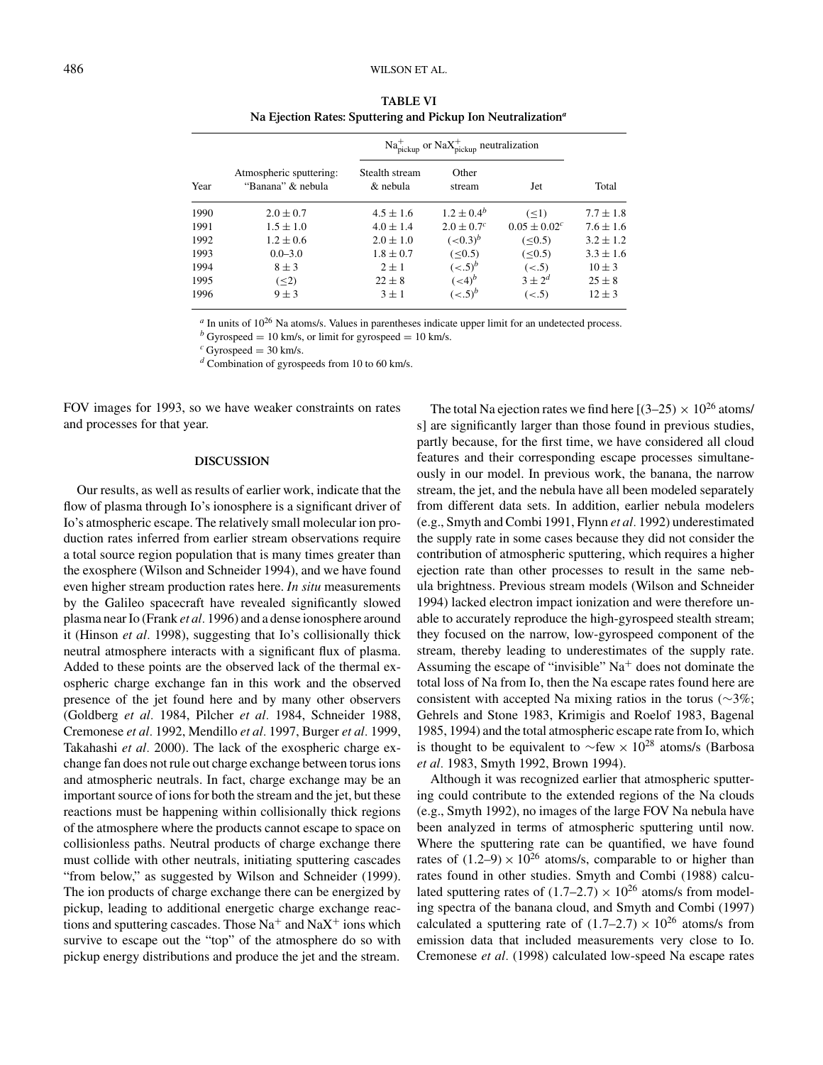| Year |                                              | $\text{Na}_{\text{pickup}}^+$ or $\text{NaX}_{\text{pickup}}^+$ neutralization |                            |                   |               |
|------|----------------------------------------------|--------------------------------------------------------------------------------|----------------------------|-------------------|---------------|
|      | Atmospheric sputtering:<br>"Banana" & nebula | Stealth stream<br>& nebula                                                     | Other<br>stream            | Jet               | Total         |
| 1990 | $2.0 \pm 0.7$                                | $4.5 \pm 1.6$                                                                  | $1.2 \pm 0.4^b$            | (<1)              | $7.7 \pm 1.8$ |
| 1991 | $1.5 \pm 1.0$                                | $4.0 \pm 1.4$                                                                  | $2.0 \pm 0.7$ <sup>c</sup> | $0.05 \pm 0.02^c$ | $7.6 \pm 1.6$ |
| 1992 | $1.2 \pm 0.6$                                | $2.0 \pm 1.0$                                                                  | $(<0.3)^{b}$               | (< 0.5)           | $3.2 \pm 1.2$ |
| 1993 | $0.0 - 3.0$                                  | $1.8 \pm 0.7$                                                                  | (< 0.5)                    | (< 0.5)           | $3.3 \pm 1.6$ |
| 1994 | $8 \pm 3$                                    | $2 \pm 1$                                                                      | $(<.5)^b$                  | (< .5)            | $10 \pm 3$    |
| 1995 | $(\leq 2)$                                   | $22 \pm 8$                                                                     | ( <b>4</b> ) <sup>b</sup>  | $3 + 2^d$         | $25 \pm 8$    |
| 1996 | $9 \pm 3$                                    | $3 \pm 1$                                                                      | $(<.5)^b$                  | (< .5)            | $12 + 3$      |

**TABLE VI Na Ejection Rates: Sputtering and Pickup Ion Neutralization***<sup>a</sup>*

<sup>*a*</sup> In units of 10<sup>26</sup> Na atoms/s. Values in parentheses indicate upper limit for an undetected process.

*<sup>b</sup>* Gyrospeed <sup>=</sup> 10 km/s, or limit for gyrospeed <sup>=</sup> 10 km/s. *<sup>c</sup>* Gyrospeed <sup>=</sup> 30 km/s. *<sup>d</sup>* Combination of gyrospeeds from 10 to 60 km/s.

FOV images for 1993, so we have weaker constraints on rates and processes for that year.

### **DISCUSSION**

Our results, as well as results of earlier work, indicate that the flow of plasma through Io's ionosphere is a significant driver of Io's atmospheric escape. The relatively small molecular ion production rates inferred from earlier stream observations require a total source region population that is many times greater than the exosphere (Wilson and Schneider 1994), and we have found even higher stream production rates here. *In situ* measurements by the Galileo spacecraft have revealed significantly slowed plasma near Io (Frank *et al.* 1996) and a dense ionosphere around it (Hinson *et al.* 1998), suggesting that Io's collisionally thick neutral atmosphere interacts with a significant flux of plasma. Added to these points are the observed lack of the thermal exospheric charge exchange fan in this work and the observed presence of the jet found here and by many other observers (Goldberg *et al.* 1984, Pilcher *et al.* 1984, Schneider 1988, Cremonese *et al.* 1992, Mendillo *et al.* 1997, Burger *et al.* 1999, Takahashi *et al.* 2000). The lack of the exospheric charge exchange fan does not rule out charge exchange between torus ions and atmospheric neutrals. In fact, charge exchange may be an important source of ions for both the stream and the jet, but these reactions must be happening within collisionally thick regions of the atmosphere where the products cannot escape to space on collisionless paths. Neutral products of charge exchange there must collide with other neutrals, initiating sputtering cascades "from below," as suggested by Wilson and Schneider (1999). The ion products of charge exchange there can be energized by pickup, leading to additional energetic charge exchange reactions and sputtering cascades. Those  $Na^+$  and  $NaX^+$  ions which survive to escape out the "top" of the atmosphere do so with pickup energy distributions and produce the jet and the stream.

The total Na ejection rates we find here  $[(3-25) \times 10^{26}$  atoms/ s] are significantly larger than those found in previous studies, partly because, for the first time, we have considered all cloud features and their corresponding escape processes simultaneously in our model. In previous work, the banana, the narrow stream, the jet, and the nebula have all been modeled separately from different data sets. In addition, earlier nebula modelers (e.g., Smyth and Combi 1991, Flynn *et al.* 1992) underestimated the supply rate in some cases because they did not consider the contribution of atmospheric sputtering, which requires a higher ejection rate than other processes to result in the same nebula brightness. Previous stream models (Wilson and Schneider 1994) lacked electron impact ionization and were therefore unable to accurately reproduce the high-gyrospeed stealth stream; they focused on the narrow, low-gyrospeed component of the stream, thereby leading to underestimates of the supply rate. Assuming the escape of "invisible"  $Na<sup>+</sup>$  does not dominate the total loss of Na from Io, then the Na escape rates found here are consistent with accepted Na mixing ratios in the torus ( $\sim$ 3%; Gehrels and Stone 1983, Krimigis and Roelof 1983, Bagenal 1985, 1994) and the total atmospheric escape rate from Io, which is thought to be equivalent to  $\sim$ few × 10<sup>28</sup> atoms/s (Barbosa *et al.* 1983, Smyth 1992, Brown 1994).

Although it was recognized earlier that atmospheric sputtering could contribute to the extended regions of the Na clouds (e.g., Smyth 1992), no images of the large FOV Na nebula have been analyzed in terms of atmospheric sputtering until now. Where the sputtering rate can be quantified, we have found rates of  $(1.2-9) \times 10^{26}$  atoms/s, comparable to or higher than rates found in other studies. Smyth and Combi (1988) calculated sputtering rates of  $(1.7–2.7) \times 10^{26}$  atoms/s from modeling spectra of the banana cloud, and Smyth and Combi (1997) calculated a sputtering rate of  $(1.7–2.7) \times 10^{26}$  atoms/s from emission data that included measurements very close to Io. Cremonese *et al.* (1998) calculated low-speed Na escape rates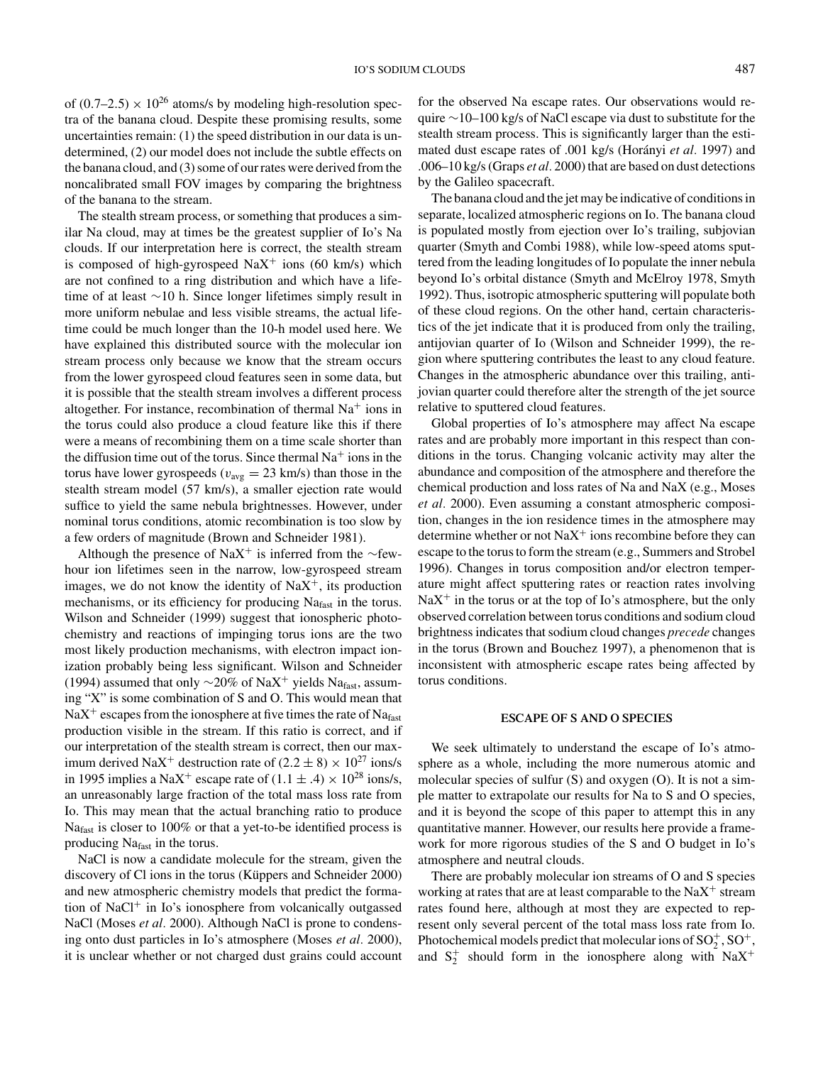of  $(0.7–2.5) \times 10^{26}$  atoms/s by modeling high-resolution spectra of the banana cloud. Despite these promising results, some uncertainties remain: (1) the speed distribution in our data is undetermined, (2) our model does not include the subtle effects on the banana cloud, and (3) some of our rates were derived from the noncalibrated small FOV images by comparing the brightness of the banana to the stream.

The stealth stream process, or something that produces a similar Na cloud, may at times be the greatest supplier of Io's Na clouds. If our interpretation here is correct, the stealth stream is composed of high-gyrospeed  $\text{NaX}^+$  ions (60 km/s) which are not confined to a ring distribution and which have a lifetime of at least ∼10 h. Since longer lifetimes simply result in more uniform nebulae and less visible streams, the actual lifetime could be much longer than the 10-h model used here. We have explained this distributed source with the molecular ion stream process only because we know that the stream occurs from the lower gyrospeed cloud features seen in some data, but it is possible that the stealth stream involves a different process altogether. For instance, recombination of thermal  $Na<sup>+</sup>$  ions in the torus could also produce a cloud feature like this if there were a means of recombining them on a time scale shorter than the diffusion time out of the torus. Since thermal  $Na<sup>+</sup>$  ions in the torus have lower gyrospeeds ( $v_{\text{avg}} = 23$  km/s) than those in the stealth stream model (57 km/s), a smaller ejection rate would suffice to yield the same nebula brightnesses. However, under nominal torus conditions, atomic recombination is too slow by a few orders of magnitude (Brown and Schneider 1981).

Although the presence of NaX<sup>+</sup> is inferred from the ∼fewhour ion lifetimes seen in the narrow, low-gyrospeed stream images, we do not know the identity of  $\text{NaX}^+$ , its production mechanisms, or its efficiency for producing Na<sub>fast</sub> in the torus. Wilson and Schneider (1999) suggest that ionospheric photochemistry and reactions of impinging torus ions are the two most likely production mechanisms, with electron impact ionization probably being less significant. Wilson and Schneider (1994) assumed that only  $\sim$ 20% of NaX<sup>+</sup> yields Na<sub>fast</sub>, assuming "X" is some combination of S and O. This would mean that  $\text{NaX}^+$  escapes from the ionosphere at five times the rate of  $\text{Na}_{\text{fast}}$ production visible in the stream. If this ratio is correct, and if our interpretation of the stealth stream is correct, then our maximum derived NaX<sup>+</sup> destruction rate of  $(2.2 \pm 8) \times 10^{27}$  ions/s in 1995 implies a NaX<sup>+</sup> escape rate of  $(1.1 \pm .4) \times 10^{28}$  ions/s, an unreasonably large fraction of the total mass loss rate from Io. This may mean that the actual branching ratio to produce Nafast is closer to 100% or that a yet-to-be identified process is producing Nafast in the torus.

NaCl is now a candidate molecule for the stream, given the discovery of Cl ions in the torus (Küppers and Schneider 2000) and new atmospheric chemistry models that predict the formation of NaCl<sup>+</sup> in Io's ionosphere from volcanically outgassed NaCl (Moses *et al.* 2000). Although NaCl is prone to condensing onto dust particles in Io's atmosphere (Moses *et al.* 2000), it is unclear whether or not charged dust grains could account for the observed Na escape rates. Our observations would require ∼10–100 kg/s of NaCl escape via dust to substitute for the stealth stream process. This is significantly larger than the estimated dust escape rates of .001 kg/s (Horányi *et al.* 1997) and .006–10 kg/s (Graps *et al.* 2000) that are based on dust detections by the Galileo spacecraft.

The banana cloud and the jet may be indicative of conditions in separate, localized atmospheric regions on Io. The banana cloud is populated mostly from ejection over Io's trailing, subjovian quarter (Smyth and Combi 1988), while low-speed atoms sputtered from the leading longitudes of Io populate the inner nebula beyond Io's orbital distance (Smyth and McElroy 1978, Smyth 1992). Thus, isotropic atmospheric sputtering will populate both of these cloud regions. On the other hand, certain characteristics of the jet indicate that it is produced from only the trailing, antijovian quarter of Io (Wilson and Schneider 1999), the region where sputtering contributes the least to any cloud feature. Changes in the atmospheric abundance over this trailing, antijovian quarter could therefore alter the strength of the jet source relative to sputtered cloud features.

Global properties of Io's atmosphere may affect Na escape rates and are probably more important in this respect than conditions in the torus. Changing volcanic activity may alter the abundance and composition of the atmosphere and therefore the chemical production and loss rates of Na and NaX (e.g., Moses *et al.* 2000). Even assuming a constant atmospheric composition, changes in the ion residence times in the atmosphere may determine whether or not  $\text{NaX}^+$  ions recombine before they can escape to the torus to form the stream (e.g., Summers and Strobel 1996). Changes in torus composition and/or electron temperature might affect sputtering rates or reaction rates involving  $\text{NaX}^+$  in the torus or at the top of Io's atmosphere, but the only observed correlation between torus conditions and sodium cloud brightness indicates that sodium cloud changes *precede* changes in the torus (Brown and Bouchez 1997), a phenomenon that is inconsistent with atmospheric escape rates being affected by torus conditions.

#### **ESCAPE OF S AND O SPECIES**

We seek ultimately to understand the escape of Io's atmosphere as a whole, including the more numerous atomic and molecular species of sulfur (S) and oxygen (O). It is not a simple matter to extrapolate our results for Na to S and O species, and it is beyond the scope of this paper to attempt this in any quantitative manner. However, our results here provide a framework for more rigorous studies of the S and O budget in Io's atmosphere and neutral clouds.

There are probably molecular ion streams of O and S species working at rates that are at least comparable to the  $\text{NaX}^+$  stream rates found here, although at most they are expected to represent only several percent of the total mass loss rate from Io. Photochemical models predict that molecular ions of  $SO_2^+$ ,  $SO^+$ , and  $S_2^+$  should form in the ionosphere along with  $NaX^+$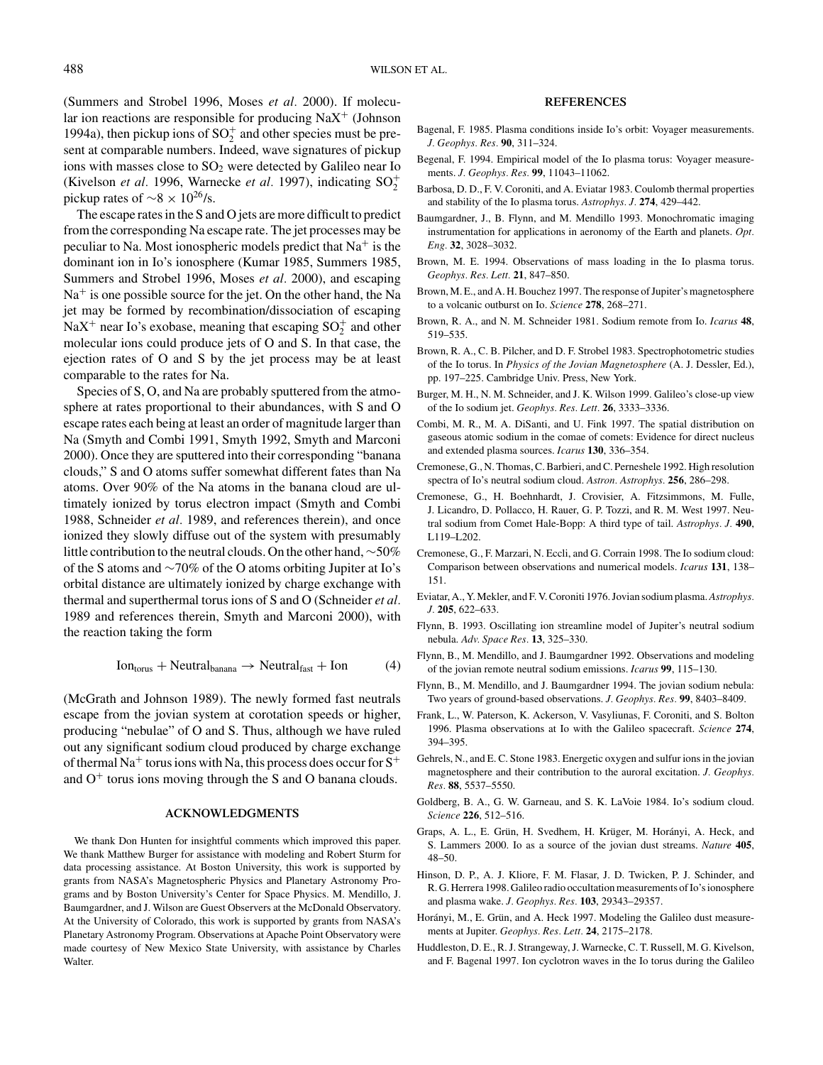(Summers and Strobel 1996, Moses *et al.* 2000). If molecular ion reactions are responsible for producing  $\text{NaX}^+$  (Johnson 1994a), then pickup ions of  $SO_2^+$  and other species must be present at comparable numbers. Indeed, wave signatures of pickup ions with masses close to  $SO<sub>2</sub>$  were detected by Galileo near Io (Kivelson *et al.* 1996, Warnecke *et al.* 1997), indicating  $SO_2^+$ pickup rates of  $\sim$ 8 × 10<sup>26</sup>/s.

The escape rates in the S and O jets are more difficult to predict from the corresponding Na escape rate. The jet processes may be peculiar to Na. Most ionospheric models predict that  $Na<sup>+</sup>$  is the dominant ion in Io's ionosphere (Kumar 1985, Summers 1985, Summers and Strobel 1996, Moses *et al.* 2000), and escaping  $Na<sup>+</sup>$  is one possible source for the jet. On the other hand, the Na jet may be formed by recombination/dissociation of escaping NaX<sup>+</sup> near Io's exobase, meaning that escaping  $SO_2^+$  and other molecular ions could produce jets of O and S. In that case, the ejection rates of O and S by the jet process may be at least comparable to the rates for Na.

Species of S, O, and Na are probably sputtered from the atmosphere at rates proportional to their abundances, with S and O escape rates each being at least an order of magnitude larger than Na (Smyth and Combi 1991, Smyth 1992, Smyth and Marconi 2000). Once they are sputtered into their corresponding "banana clouds," S and O atoms suffer somewhat different fates than Na atoms. Over 90% of the Na atoms in the banana cloud are ultimately ionized by torus electron impact (Smyth and Combi 1988, Schneider *et al.* 1989, and references therein), and once ionized they slowly diffuse out of the system with presumably little contribution to the neutral clouds. On the other hand,∼50% of the S atoms and ∼70% of the O atoms orbiting Jupiter at Io's orbital distance are ultimately ionized by charge exchange with thermal and superthermal torus ions of S and O (Schneider *et al.* 1989 and references therein, Smyth and Marconi 2000), with the reaction taking the form

$$
Iontorus + Neutralbanana \rightarrow Neutralfast + Ion
$$
 (4)

(McGrath and Johnson 1989). The newly formed fast neutrals escape from the jovian system at corotation speeds or higher, producing "nebulae" of O and S. Thus, although we have ruled out any significant sodium cloud produced by charge exchange of thermal Na<sup>+</sup> torus ions with Na, this process does occur for  $S^+$ and  $O<sup>+</sup>$  torus ions moving through the S and O banana clouds.

#### **ACKNOWLEDGMENTS**

We thank Don Hunten for insightful comments which improved this paper. We thank Matthew Burger for assistance with modeling and Robert Sturm for data processing assistance. At Boston University, this work is supported by grants from NASA's Magnetospheric Physics and Planetary Astronomy Programs and by Boston University's Center for Space Physics. M. Mendillo, J. Baumgardner, and J. Wilson are Guest Observers at the McDonald Observatory. At the University of Colorado, this work is supported by grants from NASA's Planetary Astronomy Program. Observations at Apache Point Observatory were made courtesy of New Mexico State University, with assistance by Charles Walter.

#### **REFERENCES**

- Bagenal, F. 1985. Plasma conditions inside Io's orbit: Voyager measurements. *J. Geophys. Res.* **90**, 311–324.
- Begenal, F. 1994. Empirical model of the Io plasma torus: Voyager measurements. *J. Geophys. Res.* **99**, 11043–11062.
- Barbosa, D. D., F. V. Coroniti, and A. Eviatar 1983. Coulomb thermal properties and stability of the Io plasma torus. *Astrophys. J.* **274**, 429–442.
- Baumgardner, J., B. Flynn, and M. Mendillo 1993. Monochromatic imaging instrumentation for applications in aeronomy of the Earth and planets. *Opt. Eng.* **32**, 3028–3032.
- Brown, M. E. 1994. Observations of mass loading in the Io plasma torus. *Geophys. Res. Lett.* **21**, 847–850.
- Brown, M. E., and A. H. Bouchez 1997. The response of Jupiter's magnetosphere to a volcanic outburst on Io. *Science* **278**, 268–271.
- Brown, R. A., and N. M. Schneider 1981. Sodium remote from Io. *Icarus* **48**, 519–535.
- Brown, R. A., C. B. Pilcher, and D. F. Strobel 1983. Spectrophotometric studies of the Io torus. In *Physics of the Jovian Magnetosphere* (A. J. Dessler, Ed.), pp. 197–225. Cambridge Univ. Press, New York.
- Burger, M. H., N. M. Schneider, and J. K. Wilson 1999. Galileo's close-up view of the Io sodium jet. *Geophys. Res. Lett.* **26**, 3333–3336.
- Combi, M. R., M. A. DiSanti, and U. Fink 1997. The spatial distribution on gaseous atomic sodium in the comae of comets: Evidence for direct nucleus and extended plasma sources. *Icarus* **130**, 336–354.
- Cremonese, G., N. Thomas, C. Barbieri, and C. Perneshele 1992. High resolution spectra of Io's neutral sodium cloud. *Astron. Astrophys.* **256**, 286–298.
- Cremonese, G., H. Boehnhardt, J. Crovisier, A. Fitzsimmons, M. Fulle, J. Licandro, D. Pollacco, H. Rauer, G. P. Tozzi, and R. M. West 1997. Neutral sodium from Comet Hale-Bopp: A third type of tail. *Astrophys. J.* **490**, L119–L202.
- Cremonese, G., F. Marzari, N. Eccli, and G. Corrain 1998. The Io sodium cloud: Comparison between observations and numerical models. *Icarus* **131**, 138– 151.
- Eviatar, A., Y. Mekler, and F. V. Coroniti 1976. Jovian sodium plasma.*Astrophys. J.* **205**, 622–633.
- Flynn, B. 1993. Oscillating ion streamline model of Jupiter's neutral sodium nebula. *Adv. Space Res.* **13**, 325–330.
- Flynn, B., M. Mendillo, and J. Baumgardner 1992. Observations and modeling of the jovian remote neutral sodium emissions. *Icarus* **99**, 115–130.
- Flynn, B., M. Mendillo, and J. Baumgardner 1994. The jovian sodium nebula: Two years of ground-based observations. *J. Geophys. Res.* **99**, 8403–8409.
- Frank, L., W. Paterson, K. Ackerson, V. Vasyliunas, F. Coroniti, and S. Bolton 1996. Plasma observations at Io with the Galileo spacecraft. *Science* **274**, 394–395.
- Gehrels, N., and E. C. Stone 1983. Energetic oxygen and sulfur ions in the jovian magnetosphere and their contribution to the auroral excitation. *J. Geophys. Res.* **88**, 5537–5550.
- Goldberg, B. A., G. W. Garneau, and S. K. LaVoie 1984. Io's sodium cloud. *Science* **226**, 512–516.
- Graps, A. L., E. Grün, H. Svedhem, H. Krüger, M. Horányi, A. Heck, and S. Lammers 2000. Io as a source of the jovian dust streams. *Nature* **405**, 48–50.
- Hinson, D. P., A. J. Kliore, F. M. Flasar, J. D. Twicken, P. J. Schinder, and R. G. Herrera 1998. Galileo radio occultation measurements of Io's ionosphere and plasma wake. *J. Geophys. Res.* **103**, 29343–29357.
- Horányi, M., E. Grün, and A. Heck 1997. Modeling the Galileo dust measurements at Jupiter. *Geophys. Res. Lett.* **24**, 2175–2178.
- Huddleston, D. E., R. J. Strangeway, J. Warnecke, C. T. Russell, M. G. Kivelson, and F. Bagenal 1997. Ion cyclotron waves in the Io torus during the Galileo